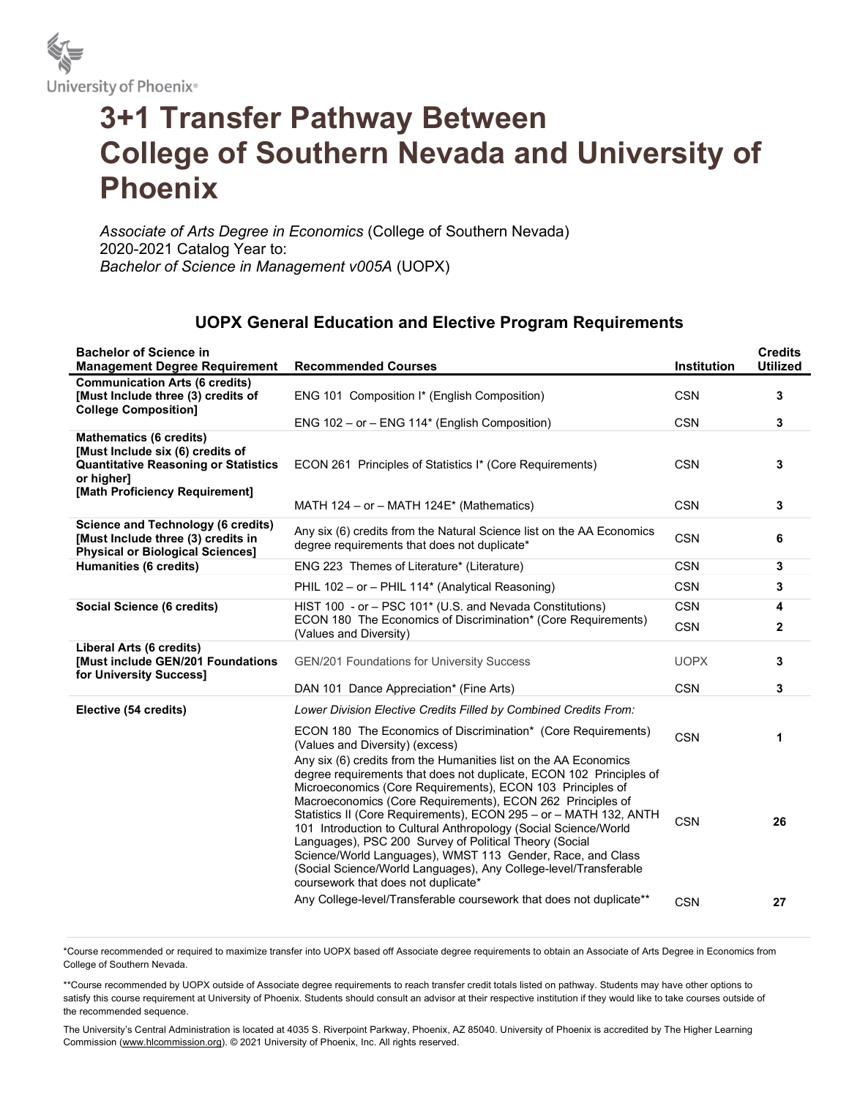

## 3+1 Transfer Pathway Between College of Southern Nevada and University of Phoenix

Associate of Arts Degree in Economics (College of Southern Nevada) 2020-2021 Catalog Year to: Bachelor of Science in Management v005A (UOPX)

## UOPX General Education and Elective Program Requirements

| <b>Bachelor of Science in</b><br><b>Management Degree Requirement</b>                                                                                             | <b>Recommended Courses</b>                                                                                                                                                                                                                                                                                                                                                                                                                                                                                                                                                                                                                                                                                            | Institution | <b>Credits</b><br><b>Utilized</b> |
|-------------------------------------------------------------------------------------------------------------------------------------------------------------------|-----------------------------------------------------------------------------------------------------------------------------------------------------------------------------------------------------------------------------------------------------------------------------------------------------------------------------------------------------------------------------------------------------------------------------------------------------------------------------------------------------------------------------------------------------------------------------------------------------------------------------------------------------------------------------------------------------------------------|-------------|-----------------------------------|
| <b>Communication Arts (6 credits)</b><br>[Must Include three (3) credits of<br><b>College Composition]</b>                                                        | ENG 101 Composition I* (English Composition)                                                                                                                                                                                                                                                                                                                                                                                                                                                                                                                                                                                                                                                                          | <b>CSN</b>  | 3                                 |
|                                                                                                                                                                   | ENG 102 - or - ENG 114* (English Composition)                                                                                                                                                                                                                                                                                                                                                                                                                                                                                                                                                                                                                                                                         | <b>CSN</b>  | 3                                 |
| <b>Mathematics (6 credits)</b><br>[Must Include six (6) credits of<br><b>Quantitative Reasoning or Statistics</b><br>or higher]<br>[Math Proficiency Requirement] | ECON 261 Principles of Statistics I* (Core Requirements)                                                                                                                                                                                                                                                                                                                                                                                                                                                                                                                                                                                                                                                              | <b>CSN</b>  | 3                                 |
|                                                                                                                                                                   | MATH 124 – or – MATH 124 $E^*$ (Mathematics)                                                                                                                                                                                                                                                                                                                                                                                                                                                                                                                                                                                                                                                                          | <b>CSN</b>  | 3                                 |
| <b>Science and Technology (6 credits)</b><br>[Must Include three (3) credits in<br><b>Physical or Biological Sciences]</b>                                        | Any six (6) credits from the Natural Science list on the AA Economics<br>degree requirements that does not duplicate*                                                                                                                                                                                                                                                                                                                                                                                                                                                                                                                                                                                                 | <b>CSN</b>  | 6                                 |
| Humanities (6 credits)                                                                                                                                            | ENG 223 Themes of Literature* (Literature)                                                                                                                                                                                                                                                                                                                                                                                                                                                                                                                                                                                                                                                                            | <b>CSN</b>  | $\mathbf{3}$                      |
|                                                                                                                                                                   | PHIL 102 - or - PHIL 114* (Analytical Reasoning)                                                                                                                                                                                                                                                                                                                                                                                                                                                                                                                                                                                                                                                                      | <b>CSN</b>  | 3                                 |
| Social Science (6 credits)                                                                                                                                        | HIST 100 - or - PSC 101* (U.S. and Nevada Constitutions)                                                                                                                                                                                                                                                                                                                                                                                                                                                                                                                                                                                                                                                              | <b>CSN</b>  | 4                                 |
|                                                                                                                                                                   | ECON 180 The Economics of Discrimination* (Core Requirements)<br>(Values and Diversity)                                                                                                                                                                                                                                                                                                                                                                                                                                                                                                                                                                                                                               | <b>CSN</b>  | $\mathbf{2}$                      |
| Liberal Arts (6 credits)<br><b>[Must include GEN/201 Foundations</b><br>for University Success]                                                                   | <b>GEN/201 Foundations for University Success</b>                                                                                                                                                                                                                                                                                                                                                                                                                                                                                                                                                                                                                                                                     | <b>UOPX</b> | 3                                 |
|                                                                                                                                                                   | DAN 101 Dance Appreciation* (Fine Arts)                                                                                                                                                                                                                                                                                                                                                                                                                                                                                                                                                                                                                                                                               | <b>CSN</b>  | 3                                 |
| Elective (54 credits)                                                                                                                                             | Lower Division Elective Credits Filled by Combined Credits From:                                                                                                                                                                                                                                                                                                                                                                                                                                                                                                                                                                                                                                                      |             |                                   |
|                                                                                                                                                                   | ECON 180 The Economics of Discrimination* (Core Requirements)<br>(Values and Diversity) (excess)                                                                                                                                                                                                                                                                                                                                                                                                                                                                                                                                                                                                                      | <b>CSN</b>  | 1                                 |
|                                                                                                                                                                   | Any six (6) credits from the Humanities list on the AA Economics<br>degree requirements that does not duplicate, ECON 102 Principles of<br>Microeconomics (Core Requirements), ECON 103 Principles of<br>Macroeconomics (Core Requirements), ECON 262 Principles of<br>Statistics II (Core Requirements), ECON 295 - or - MATH 132, ANTH<br>101 Introduction to Cultural Anthropology (Social Science/World<br>Languages), PSC 200 Survey of Political Theory (Social<br>Science/World Languages), WMST 113 Gender, Race, and Class<br>(Social Science/World Languages), Any College-level/Transferable<br>coursework that does not duplicate*<br>Any College-level/Transferable coursework that does not duplicate** | <b>CSN</b>  | 26                                |
|                                                                                                                                                                   |                                                                                                                                                                                                                                                                                                                                                                                                                                                                                                                                                                                                                                                                                                                       | <b>CSN</b>  | 27                                |

\*Course recommended or required to maximize transfer into UOPX based off Associate degree requirements to obtain an Associate of Arts Degree in Economics from College of Southern Nevada.

\*\*Course recommended by UOPX outside of Associate degree requirements to reach transfer credit totals listed on pathway. Students may have other options to satisfy this course requirement at University of Phoenix. Students should consult an advisor at their respective institution if they would like to take courses outside of the recommended sequence.

The University's Central Administration is located at 4035 S. Riverpoint Parkway, Phoenix, AZ 85040. University of Phoenix is accredited by The Higher Learning Commission (www.hlcommission.org). © 2021 University of Phoenix, Inc. All rights reserved.